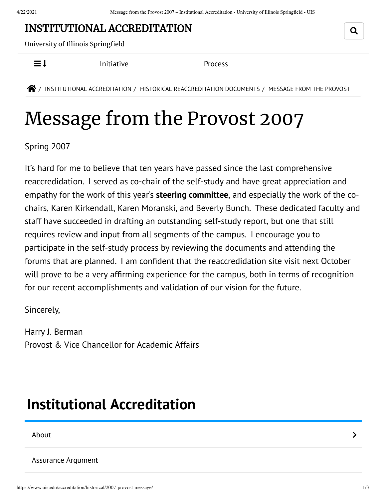### INSTITUTIONAL [ACCREDITATION](https://www.uis.edu/accreditation/)

University of Illinois Springfield

 $\equiv$  **I** [Initiative](https://www.uis.edu/accreditation/quality/) **[Process](https://www.uis.edu/accreditation/about/)** 

 $\bigotimes$  / INSTITUTIONAL [ACCREDITATION](https://www.uis.edu/accreditation/) / HISTORICAL [REACCREDITATION](https://www.uis.edu/accreditation/historical/) DOCUMENTS / MESSAGE FROM THE PROVOST

# Message from the Provost 2007

Spring 2007

It's hard for me to believe that ten years have passed since the last comprehensive reaccredidation. I served as co-chair of the self-study and have great appreciation and empathy for the work of this year's **steering [committee](https://www.uis.edu/accreditation/historical/2007-overview/committee/)**, and especially the work of the cochairs, Karen Kirkendall, Karen Moranski, and Beverly Bunch. These dedicated faculty and staff have succeeded in drafting an outstanding self-study report, but one that still requires review and input from all segments of the campus. I encourage you to participate in the self-study process by reviewing the documents and attending the forums that are planned. I am confident that the reaccredidation site visit next October will prove to be a very affirming experience for the campus, both in terms of recognition for our recent accomplishments and validation of our vision for the future.

Sincerely,

Harry J. Berman Provost & Vice Chancellor for Academic Affairs

## <span id="page-0-0"></span>**Institutional [Accreditation](https://www.uis.edu/accreditation/)**

[About](https://www.uis.edu/accreditation/about/) the contract of the contract of the contract of the contract of the contract of the contract of the contract of the contract of the contract of the contract of the contract of the contract of the contract of the cont

[Assurance](https://www.uis.edu/accreditation/assurance/) Argument

Q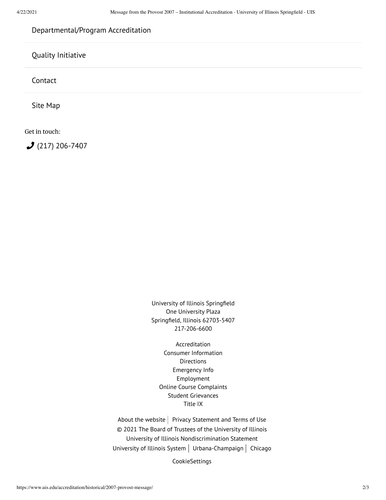### [Departmental/Program](https://www.uis.edu/accreditation/departmental-program-accreditation/) Accreditation

### Quality [Initiative](https://www.uis.edu/accreditation/quality/)

[Contact](https://www.uis.edu/accreditation/contact/)

Site [Map](https://www.uis.edu/accreditation/sitemap/)

Get in touch:

 $(217)$  [206-7407](tel:(217)%20206-7407)

University of Illinois Springfield One University Plaza Springfield, Illinois 62703-5407 217-206-6600

[Accreditation](https://www.uis.edu/accreditation/) Consumer [Information](https://www.uis.edu/about/student-consumer-information/) **[Directions](https://www.uis.edu/about/visit/drivingdirections/)** [Emergency](https://www.uis.edu/emergencies/) Info [Employment](https://jobs.uis.edu/) Online Course [Complaints](https://forms.uofi.uis.edu/sec/6417829) Student [Grievances](https://www.uis.edu/academicaffairs/departmentofeducationcomplaintprocess/) [Title](https://www.uis.edu/titleix/) IX

About the [website](https://www.uis.edu/about/explore/website/)  $\vert$  Privacy [Statement](https://www.vpaa.uillinois.edu/resources/web_privacy) and Terms of Use © 2021 The Board of Trustees of the University of Illinois University of Illinois [Nondiscrimination](https://www.hr.uillinois.edu/cms/One.aspx?portalId=4292&pageId=5671) Statement [University](https://www.uillinois.edu/) of Illinois System | [Urbana-Champaign](https://illinois.edu/) | [Chicago](http://www.uic.edu/)

CookieSettings